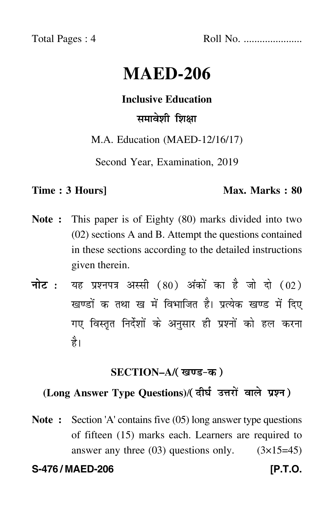Total Pages : 4 Roll No. ......................

# **MAED-206**

#### **Inclusive Education**

## समावेशी शिक्षा

#### M.A. Education (MAED-12/16/17)

Second Year, Examination, 2019

#### **Time : 3 Hours]** Max. Marks : 80

- **Note :** This paper is of Eighty (80) marks divided into two (02) sections A and B. Attempt the questions contained in these sections according to the detailed instructions given therein.
- नोट : यह प्रश्नपत्र अस्सी (80) अंकों का है जो दो (02) खण्डों क तथा ख में विभाजित है। प्रत्येक खण्ड में दिए गए विस्तृत निर्देशों के अनुसार ही प्रश्नों को हल करन<mark>ा</mark> है।

#### **SECTION–A/**

### **(Long Answer Type Questions)**/

**Note :** Section 'A' contains five (05) long answer type questions of fifteen (15) marks each. Learners are required to answer any three  $(03)$  questions only.  $(3\times15=45)$ 

**S-476 / MAED-206 [P.T.O.**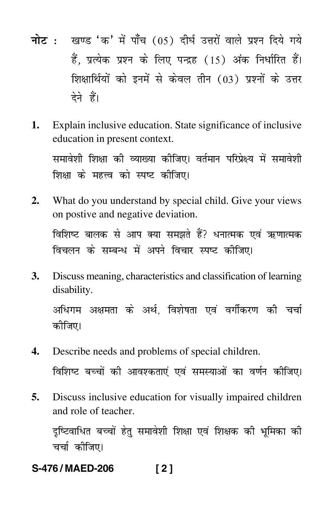- <mark>नोट</mark> : खण्ड 'क' में पाँच (05) दीर्घ उत्तरों वाले प्रश्न दिये गये हैं, प्रत्येक प्रश्न के लिए पन्द्रह (15) अंक निर्धारित हैं। शिक्षार्थियों को इनमें से केवल तीन (03) प्रश्नों के उत्तर देने हैं।
- **1.** Explain inclusive education. State significance of inclusive education in present context.

समावेशी शिक्षा की व्याख्या कीजिए। वर्तमान परिप्रेक्ष्य में समावेशी शिक्षा के महत्त्व को स्पष्ट कीजिए।

- **2.** What do you understand by special child. Give your views on postive and negative deviation. विशिष्ट बालक से आप क्या समझते हैं? धनात्मक एवं ऋणात्मक विचलन के सम्बन्ध में अपने विचार स्पष्ट कीजिए।
- **3.** Discuss meaning, characteristics and classification of learning disability.

अधिगम अक्षमता के अर्थ, विशेषता एवं वर्गीकरण की चर्चा कोजिए।

- **4.** Describe needs and problems of special children. विशिष्ट बच्चों की आवश्कताएं एवं समस्याओं का वर्णन कीजिए।
- **5.** Discuss inclusive education for visually impaired children and role of teacher.

दृष्टिवाधित बच्चों हेतु समावेशी शिक्षा एवं शिक्षक की भूमिका की चर्चा कीजिए।

**S-476 / MAED-206 [ 2 ]**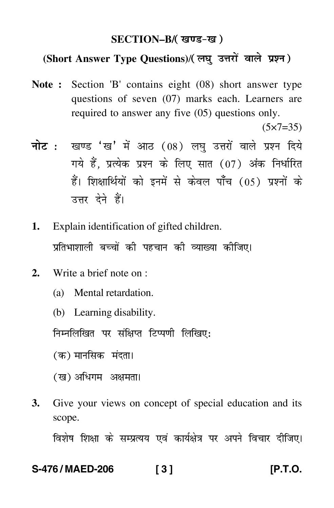#### **SECTION–B/**

### **(Short Answer Type Questions)**/

**Note :** Section 'B' contains eight (08) short answer type questions of seven (07) marks each. Learners are required to answer any five (05) questions only.

 $(5 \times 7 = 35)$ 

- <mark>नोट</mark> : खण्ड 'ख' में आठ (08) लघु उत्तरों वाले प्रश्न दिये गये हैं, प्रत्येक प्रश्न के लिए सात (07) अंक निर्धारित हैं। शिक्षार्थियों को इनमें से केवल पाँच (05) प्रश्नों के उत्तर देने हैं।
- **1.** Explain identification of gifted children. प्रतिभाशाली बच्चों की पहचान की व्याख्या कीजिए।
- **2.** Write a brief note on :
	- (a) Mental retardation.
	- (b) Learning disability.

निम्नलिखित पर संक्षिप्त टिप्पणी लिखिए:

(क) मानसिक मंदता<mark>।</mark>

- (ख) अधिगम अक्षमता।
- **3.** Give your views on concept of special education and its scope.

विशेष शिक्षा के सम्प्रत्यय एवं कार्यक्षेत्र पर अपने विचार दीजिए।

#### **S-476 / MAED-206 [ 3 ] [P.T.O.**